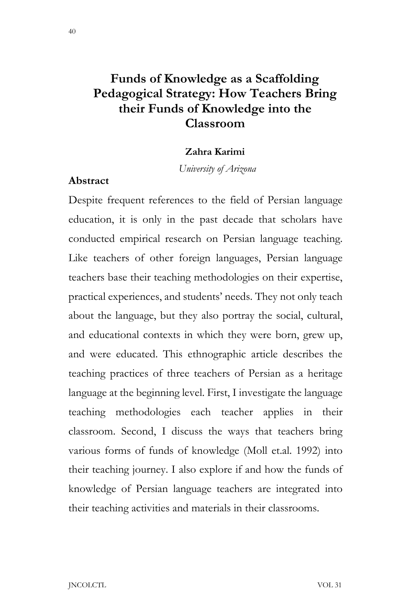# **Funds of Knowledge as a Scaffolding Pedagogical Strategy: How Teachers Bring their Funds of Knowledge into the Classroom**

### **Zahra Karimi**

 *University of Arizona*

### **Abstract**

Despite frequent references to the field of Persian language education, it is only in the past decade that scholars have conducted empirical research on Persian language teaching. Like teachers of other foreign languages, Persian language teachers base their teaching methodologies on their expertise, practical experiences, and students' needs. They not only teach about the language, but they also portray the social, cultural, and educational contexts in which they were born, grew up, and were educated. This ethnographic article describes the teaching practices of three teachers of Persian as a heritage language at the beginning level. First, I investigate the language teaching methodologies each teacher applies in their classroom. Second, I discuss the ways that teachers bring various forms of funds of knowledge (Moll et.al. 1992) into their teaching journey. I also explore if and how the funds of knowledge of Persian language teachers are integrated into their teaching activities and materials in their classrooms.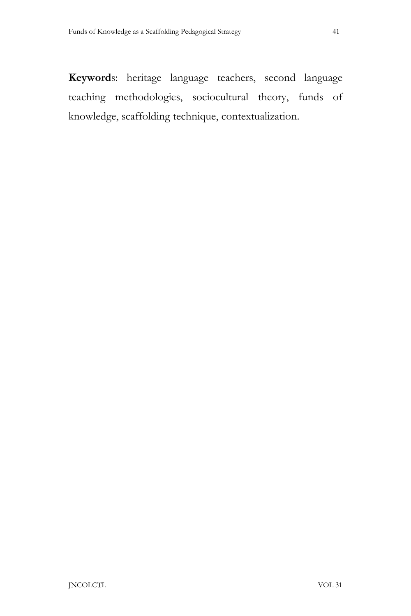**Keyword**s: heritage language teachers, second language teaching methodologies, sociocultural theory, funds of knowledge, scaffolding technique, contextualization.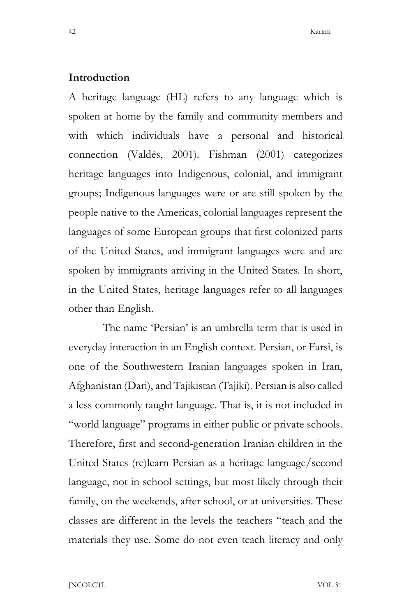### **Introduction**

A heritage language (HL) refers to any language which is spoken at home by the family and community members and with which individuals have a personal and historical connection (Valdés, 2001). Fishman (2001) categorizes heritage languages into Indigenous, colonial, and immigrant groups; Indigenous languages were or are still spoken by the people native to the Americas, colonial languages represent the languages of some European groups that first colonized parts of the United States, and immigrant languages were and are spoken by immigrants arriving in the United States. In short, in the United States, heritage languages refer to all languages other than English.

The name 'Persian' is an umbrella term that is used in everyday interaction in an English context. Persian, or Farsi, is one of the Southwestern Iranian languages spoken in Iran, Afghanistan (Dari), and Tajikistan (Tajiki). Persian is also called a less commonly taught language. That is, it is not included in "world language" programs in either public or private schools. Therefore, first and second-generation Iranian children in the United States (re)learn Persian as a heritage language/second language, not in school settings, but most likely through their family, on the weekends, after school, or at universities. These classes are different in the levels the teachers "teach and the materials they use. Some do not even teach literacy and only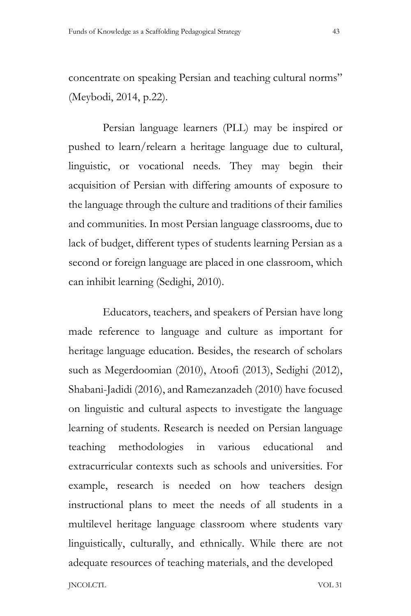concentrate on speaking Persian and teaching cultural norms" (Meybodi, 2014, p.22).

Persian language learners (PLL) may be inspired or pushed to learn/relearn a heritage language due to cultural, linguistic, or vocational needs. They may begin their acquisition of Persian with differing amounts of exposure to the language through the culture and traditions of their families and communities. In most Persian language classrooms, due to lack of budget, different types of students learning Persian as a second or foreign language are placed in one classroom, which can inhibit learning (Sedighi, 2010).

Educators, teachers, and speakers of Persian have long made reference to language and culture as important for heritage language education. Besides, the research of scholars such as Megerdoomian (2010), Atoofi (2013), Sedighi (2012), Shabani-Jadidi (2016), and Ramezanzadeh (2010) have focused on linguistic and cultural aspects to investigate the language learning of students. Research is needed on Persian language teaching methodologies in various educational and extracurricular contexts such as schools and universities. For example, research is needed on how teachers design instructional plans to meet the needs of all students in a multilevel heritage language classroom where students vary linguistically, culturally, and ethnically. While there are not adequate resources of teaching materials, and the developed

JNCOLCTL VOL 31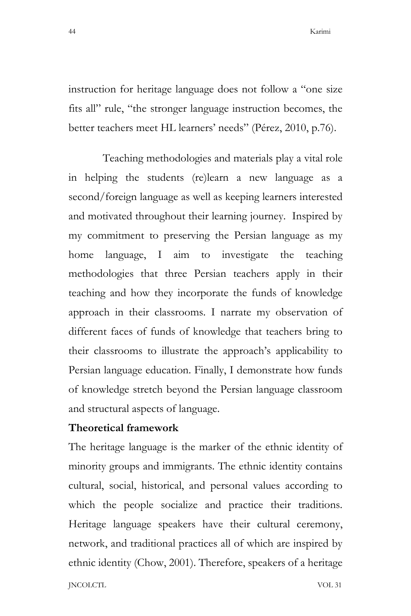instruction for heritage language does not follow a "one size fits all" rule, "the stronger language instruction becomes, the better teachers meet HL learners' needs" (Pérez, 2010, p.76).

Teaching methodologies and materials play a vital role in helping the students (re)learn a new language as a second/foreign language as well as keeping learners interested and motivated throughout their learning journey. Inspired by my commitment to preserving the Persian language as my home language, I aim to investigate the teaching methodologies that three Persian teachers apply in their teaching and how they incorporate the funds of knowledge approach in their classrooms. I narrate my observation of different faces of funds of knowledge that teachers bring to their classrooms to illustrate the approach's applicability to Persian language education. Finally, I demonstrate how funds of knowledge stretch beyond the Persian language classroom and structural aspects of language.

# **Theoretical framework**

JNCOLCTL VOL 31 The heritage language is the marker of the ethnic identity of minority groups and immigrants. The ethnic identity contains cultural, social, historical, and personal values according to which the people socialize and practice their traditions. Heritage language speakers have their cultural ceremony, network, and traditional practices all of which are inspired by ethnic identity (Chow, 2001). Therefore, speakers of a heritage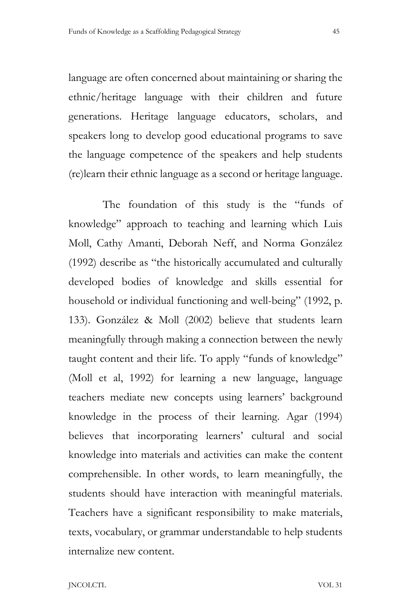language are often concerned about maintaining or sharing the ethnic/heritage language with their children and future generations. Heritage language educators, scholars, and speakers long to develop good educational programs to save the language competence of the speakers and help students (re)learn their ethnic language as a second or heritage language.

The foundation of this study is the "funds of knowledge" approach to teaching and learning which Luis Moll, Cathy Amanti, Deborah Neff, and Norma González (1992) describe as "the historically accumulated and culturally developed bodies of knowledge and skills essential for household or individual functioning and well-being" (1992, p. 133). González & Moll (2002) believe that students learn meaningfully through making a connection between the newly taught content and their life. To apply "funds of knowledge" (Moll et al, 1992) for learning a new language, language teachers mediate new concepts using learners' background knowledge in the process of their learning. Agar (1994) believes that incorporating learners' cultural and social knowledge into materials and activities can make the content comprehensible. In other words, to learn meaningfully, the students should have interaction with meaningful materials. Teachers have a significant responsibility to make materials, texts, vocabulary, or grammar understandable to help students internalize new content.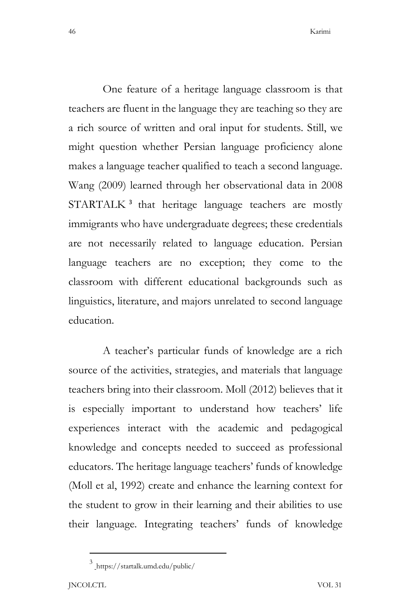One feature of a heritage language classroom is that teachers are fluent in the language they are teaching so they are a rich source of written and oral input for students. Still, we might question whether Persian language proficiency alone makes a language teacher qualified to teach a second language. Wang (2009) learned through her observational data in 2008 STARTALK<sup>3</sup> that heritage language teachers are mostly immigrants who have undergraduate degrees; these credentials are not necessarily related to language education. Persian language teachers are no exception; they come to the classroom with different educational backgrounds such as linguistics, literature, and majors unrelated to second language education.

A teacher's particular funds of knowledge are a rich source of the activities, strategies, and materials that language teachers bring into their classroom. Moll (2012) believes that it is especially important to understand how teachers' life experiences interact with the academic and pedagogical knowledge and concepts needed to succeed as professional educators. The heritage language teachers' funds of knowledge (Moll et al, 1992) create and enhance the learning context for the student to grow in their learning and their abilities to use their language. Integrating teachers' funds of knowledge

 $3$  https://startalk.umd.edu/public/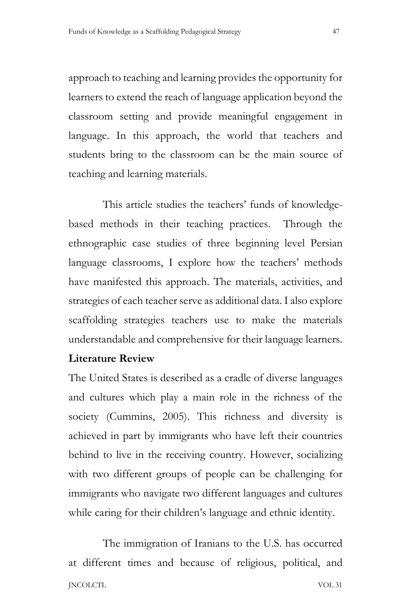approach to teaching and learning provides the opportunity for learners to extend the reach of language application beyond the classroom setting and provide meaningful engagement in language. In this approach, the world that teachers and students bring to the classroom can be the main source of teaching and learning materials.

This article studies the teachers' funds of knowledgebased methods in their teaching practices. Through the ethnographic case studies of three beginning level Persian language classrooms, I explore how the teachers' methods have manifested this approach. The materials, activities, and strategies of each teacher serve as additional data. I also explore scaffolding strategies teachers use to make the materials understandable and comprehensive for their language learners.

# **Literature Review**

The United States is described as a cradle of diverse languages and cultures which play a main role in the richness of the society (Cummins, 2005). This richness and diversity is achieved in part by immigrants who have left their countries behind to live in the receiving country. However, socializing with two different groups of people can be challenging for immigrants who navigate two different languages and cultures while caring for their children's language and ethnic identity.

JNCOLCTL VOL 31 The immigration of Iranians to the U.S. has occurred at different times and because of religious, political, and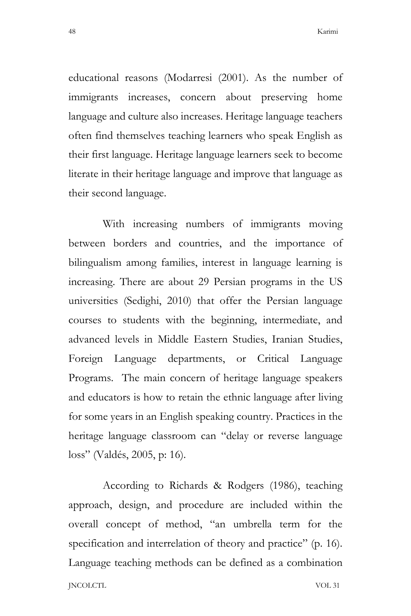educational reasons (Modarresi (2001). As the number of immigrants increases, concern about preserving home language and culture also increases. Heritage language teachers often find themselves teaching learners who speak English as their first language. Heritage language learners seek to become literate in their heritage language and improve that language as their second language.

With increasing numbers of immigrants moving between borders and countries, and the importance of bilingualism among families, interest in language learning is increasing. There are about 29 Persian programs in the US universities (Sedighi, 2010) that offer the Persian language courses to students with the beginning, intermediate, and advanced levels in Middle Eastern Studies, Iranian Studies, Foreign Language departments, or Critical Language Programs. The main concern of heritage language speakers and educators is how to retain the ethnic language after living for some years in an English speaking country. Practices in the heritage language classroom can "delay or reverse language loss" (Valdés, 2005, p: 16).

JNCOLCTL VOL 31 According to Richards & Rodgers (1986), teaching approach, design, and procedure are included within the overall concept of method, "an umbrella term for the specification and interrelation of theory and practice" (p. 16). Language teaching methods can be defined as a combination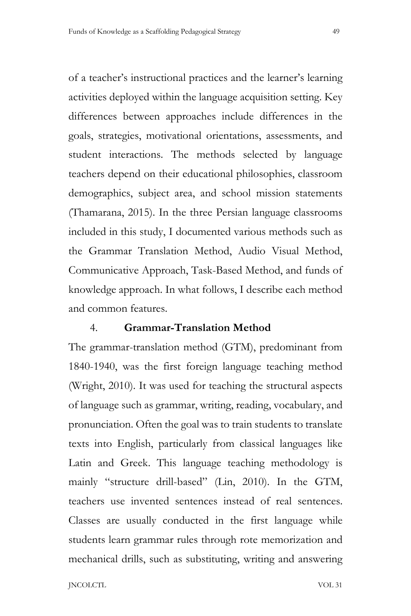of a teacher's instructional practices and the learner's learning activities deployed within the language acquisition setting. Key differences between approaches include differences in the goals, strategies, motivational orientations, assessments, and student interactions. The methods selected by language teachers depend on their educational philosophies, classroom demographics, subject area, and school mission statements (Thamarana, 2015). In the three Persian language classrooms included in this study, I documented various methods such as the Grammar Translation Method, Audio Visual Method, Communicative Approach, Task-Based Method, and funds of knowledge approach. In what follows, I describe each method and common features.

### 4. **Grammar-Translation Method**

The grammar-translation method (GTM), predominant from 1840-1940, was the first foreign language teaching method (Wright, 2010). It was used for teaching the structural aspects of language such as grammar, writing, reading, vocabulary, and pronunciation. Often the goal was to train students to translate texts into English, particularly from classical languages like Latin and Greek. This language teaching methodology is mainly "structure drill-based" (Lin, 2010). In the GTM, teachers use invented sentences instead of real sentences. Classes are usually conducted in the first language while students learn grammar rules through rote memorization and mechanical drills, such as substituting, writing and answering

JNCOLCTL VOL 31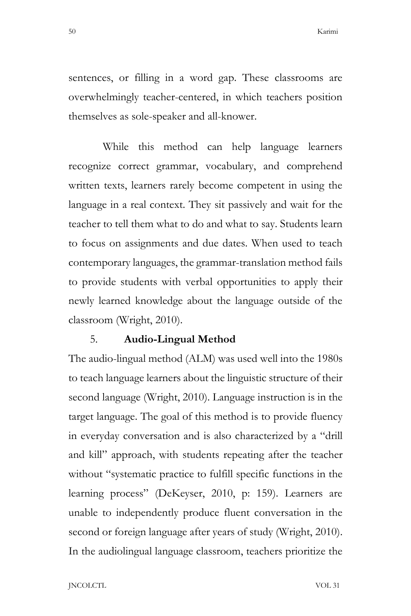sentences, or filling in a word gap. These classrooms are overwhelmingly teacher-centered, in which teachers position themselves as sole-speaker and all-knower.

While this method can help language learners recognize correct grammar, vocabulary, and comprehend written texts, learners rarely become competent in using the language in a real context. They sit passively and wait for the teacher to tell them what to do and what to say. Students learn to focus on assignments and due dates. When used to teach contemporary languages, the grammar-translation method fails to provide students with verbal opportunities to apply their newly learned knowledge about the language outside of the classroom (Wright, 2010).

# 5. **Audio-Lingual Method**

The audio-lingual method (ALM) was used well into the 1980s to teach language learners about the linguistic structure of their second language (Wright, 2010). Language instruction is in the target language. The goal of this method is to provide fluency in everyday conversation and is also characterized by a "drill and kill" approach, with students repeating after the teacher without "systematic practice to fulfill specific functions in the learning process" (DeKeyser, 2010, p: 159). Learners are unable to independently produce fluent conversation in the second or foreign language after years of study (Wright, 2010). In the audiolingual language classroom, teachers prioritize the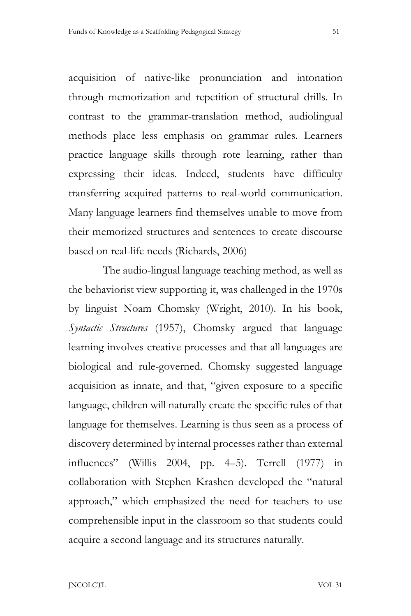acquisition of native-like pronunciation and intonation through memorization and repetition of structural drills. In contrast to the grammar-translation method, audiolingual methods place less emphasis on grammar rules. Learners practice language skills through rote learning, rather than expressing their ideas. Indeed, students have difficulty transferring acquired patterns to real-world communication. Many language learners find themselves unable to move from their memorized structures and sentences to create discourse based on real-life needs (Richards, 2006)

The audio-lingual language teaching method, as well as the behaviorist view supporting it, was challenged in the 1970s by linguist Noam Chomsky (Wright, 2010). In his book, *Syntactic Structures* (1957), Chomsky argued that language learning involves creative processes and that all languages are biological and rule-governed. Chomsky suggested language acquisition as innate, and that, "given exposure to a specific language, children will naturally create the specific rules of that language for themselves. Learning is thus seen as a process of discovery determined by internal processes rather than external influences" (Willis 2004, pp. 4–5). Terrell (1977) in collaboration with Stephen Krashen developed the "natural approach," which emphasized the need for teachers to use comprehensible input in the classroom so that students could acquire a second language and its structures naturally.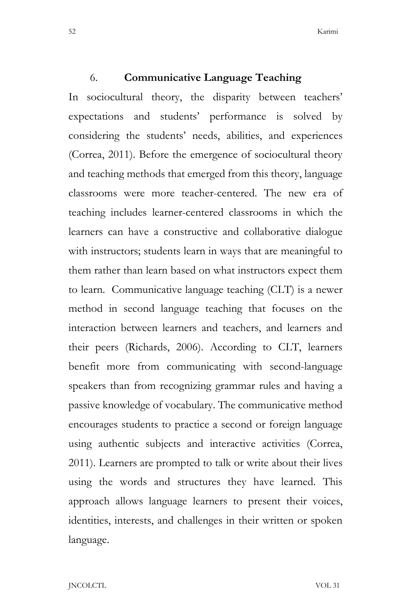### 6. **Communicative Language Teaching**

In sociocultural theory, the disparity between teachers' expectations and students' performance is solved by considering the students' needs, abilities, and experiences (Correa, 2011). Before the emergence of sociocultural theory and teaching methods that emerged from this theory, language classrooms were more teacher-centered. The new era of teaching includes learner-centered classrooms in which the learners can have a constructive and collaborative dialogue with instructors; students learn in ways that are meaningful to them rather than learn based on what instructors expect them to learn. Communicative language teaching (CLT) is a newer method in second language teaching that focuses on the interaction between learners and teachers, and learners and their peers (Richards, 2006). According to CLT, learners benefit more from communicating with second-language speakers than from recognizing grammar rules and having a passive knowledge of vocabulary. The communicative method encourages students to practice a second or foreign language using authentic subjects and interactive activities (Correa, 2011). Learners are prompted to talk or write about their lives using the words and structures they have learned. This approach allows language learners to present their voices, identities, interests, and challenges in their written or spoken language.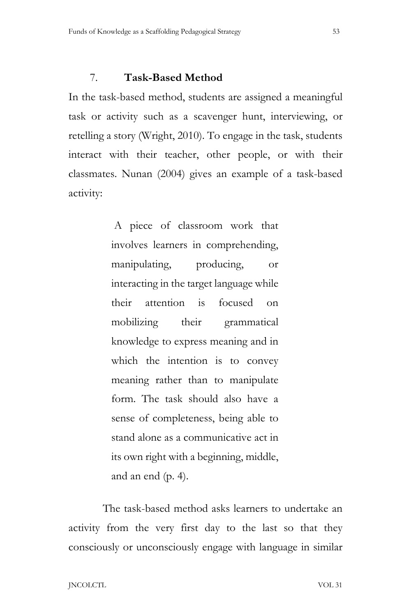# 7. **Task-Based Method**

In the task-based method, students are assigned a meaningful task or activity such as a scavenger hunt, interviewing, or retelling a story (Wright, 2010). To engage in the task, students interact with their teacher, other people, or with their classmates. Nunan (2004) gives an example of a task-based activity:

> A piece of classroom work that involves learners in comprehending, manipulating, producing, or interacting in the target language while their attention is focused on mobilizing their grammatical knowledge to express meaning and in which the intention is to convey meaning rather than to manipulate form. The task should also have a sense of completeness, being able to stand alone as a communicative act in its own right with a beginning, middle, and an end (p. 4).

The task-based method asks learners to undertake an activity from the very first day to the last so that they consciously or unconsciously engage with language in similar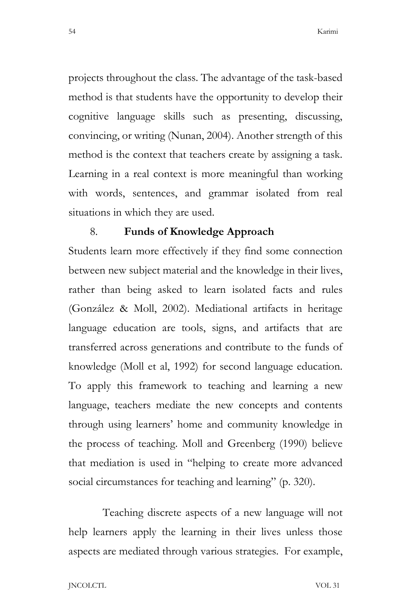projects throughout the class. The advantage of the task-based method is that students have the opportunity to develop their cognitive language skills such as presenting, discussing, convincing, or writing (Nunan, 2004). Another strength of this method is the context that teachers create by assigning a task. Learning in a real context is more meaningful than working with words, sentences, and grammar isolated from real situations in which they are used.

#### 8. **Funds of Knowledge Approach**

Students learn more effectively if they find some connection between new subject material and the knowledge in their lives, rather than being asked to learn isolated facts and rules (González & Moll, 2002). Mediational artifacts in heritage language education are tools, signs, and artifacts that are transferred across generations and contribute to the funds of knowledge (Moll et al, 1992) for second language education. To apply this framework to teaching and learning a new language, teachers mediate the new concepts and contents through using learners' home and community knowledge in the process of teaching. Moll and Greenberg (1990) believe that mediation is used in "helping to create more advanced social circumstances for teaching and learning" (p. 320).

Teaching discrete aspects of a new language will not help learners apply the learning in their lives unless those aspects are mediated through various strategies. For example,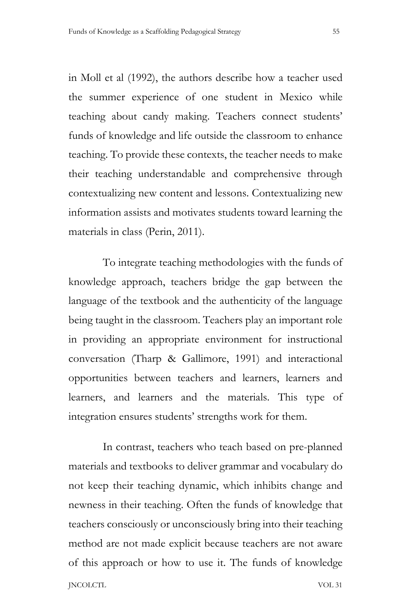in Moll et al (1992), the authors describe how a teacher used the summer experience of one student in Mexico while teaching about candy making. Teachers connect students' funds of knowledge and life outside the classroom to enhance teaching. To provide these contexts, the teacher needs to make their teaching understandable and comprehensive through contextualizing new content and lessons. Contextualizing new information assists and motivates students toward learning the materials in class (Perin, 2011).

To integrate teaching methodologies with the funds of knowledge approach, teachers bridge the gap between the language of the textbook and the authenticity of the language being taught in the classroom. Teachers play an important role in providing an appropriate environment for instructional conversation (Tharp & Gallimore, 1991) and interactional opportunities between teachers and learners, learners and learners, and learners and the materials. This type of integration ensures students' strengths work for them.

JNCOLCTL VOL 31 In contrast, teachers who teach based on pre-planned materials and textbooks to deliver grammar and vocabulary do not keep their teaching dynamic, which inhibits change and newness in their teaching. Often the funds of knowledge that teachers consciously or unconsciously bring into their teaching method are not made explicit because teachers are not aware of this approach or how to use it. The funds of knowledge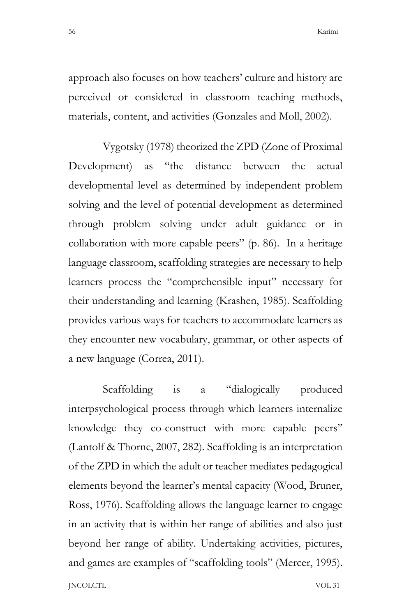approach also focuses on how teachers' culture and history are perceived or considered in classroom teaching methods, materials, content, and activities (Gonzales and Moll, 2002).

Vygotsky (1978) theorized the ZPD (Zone of Proximal Development) as "the distance between the actual developmental level as determined by independent problem solving and the level of potential development as determined through problem solving under adult guidance or in collaboration with more capable peers" (p. 86). In a heritage language classroom, scaffolding strategies are necessary to help learners process the "comprehensible input" necessary for their understanding and learning (Krashen, 1985). Scaffolding provides various ways for teachers to accommodate learners as they encounter new vocabulary, grammar, or other aspects of a new language (Correa, 2011).

JNCOLCTL VOL 31 Scaffolding is a "dialogically produced interpsychological process through which learners internalize knowledge they co-construct with more capable peers" (Lantolf & Thorne, 2007, 282). Scaffolding is an interpretation of the ZPD in which the adult or teacher mediates pedagogical elements beyond the learner's mental capacity (Wood, Bruner, Ross, 1976). Scaffolding allows the language learner to engage in an activity that is within her range of abilities and also just beyond her range of ability. Undertaking activities, pictures, and games are examples of "scaffolding tools" (Mercer, 1995).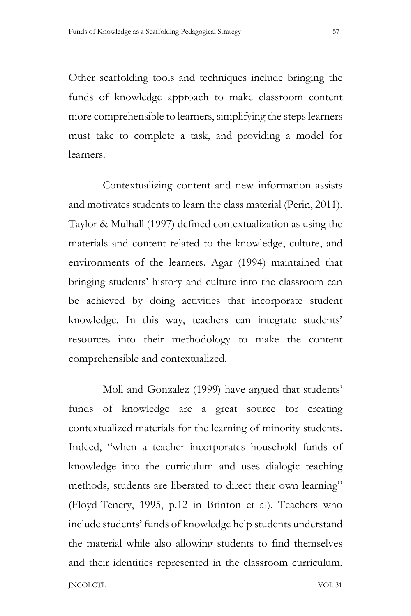Other scaffolding tools and techniques include bringing the funds of knowledge approach to make classroom content more comprehensible to learners, simplifying the steps learners must take to complete a task, and providing a model for learners.

Contextualizing content and new information assists and motivates students to learn the class material (Perin, 2011). Taylor & Mulhall (1997) defined contextualization as using the materials and content related to the knowledge, culture, and environments of the learners. Agar (1994) maintained that bringing students' history and culture into the classroom can be achieved by doing activities that incorporate student knowledge. In this way, teachers can integrate students' resources into their methodology to make the content comprehensible and contextualized.

JNCOLCTL VOL 31 Moll and Gonzalez (1999) have argued that students' funds of knowledge are a great source for creating contextualized materials for the learning of minority students. Indeed, "when a teacher incorporates household funds of knowledge into the curriculum and uses dialogic teaching methods, students are liberated to direct their own learning" (Floyd-Tenery, 1995, p.12 in Brinton et al). Teachers who include students' funds of knowledge help students understand the material while also allowing students to find themselves and their identities represented in the classroom curriculum.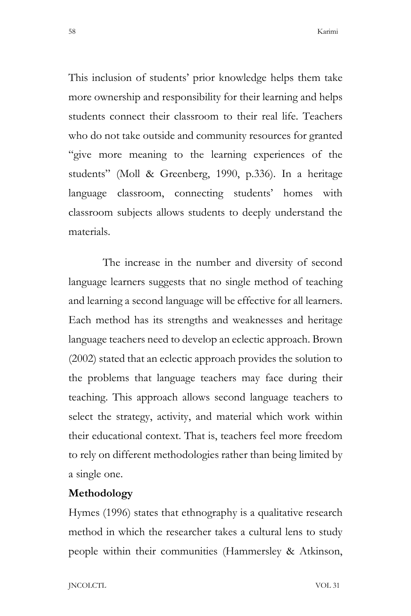This inclusion of students' prior knowledge helps them take more ownership and responsibility for their learning and helps students connect their classroom to their real life. Teachers who do not take outside and community resources for granted "give more meaning to the learning experiences of the students" (Moll & Greenberg, 1990, p.336). In a heritage language classroom, connecting students' homes with classroom subjects allows students to deeply understand the materials.

The increase in the number and diversity of second language learners suggests that no single method of teaching and learning a second language will be effective for all learners. Each method has its strengths and weaknesses and heritage language teachers need to develop an eclectic approach. Brown (2002) stated that an eclectic approach provides the solution to the problems that language teachers may face during their teaching. This approach allows second language teachers to select the strategy, activity, and material which work within their educational context. That is, teachers feel more freedom to rely on different methodologies rather than being limited by a single one.

# **Methodology**

Hymes (1996) states that ethnography is a qualitative research method in which the researcher takes a cultural lens to study people within their communities (Hammersley & Atkinson,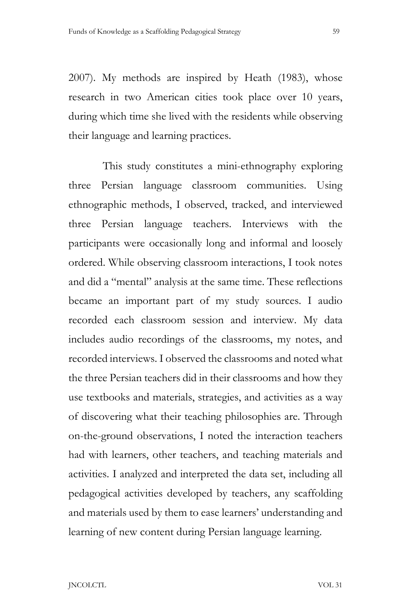2007). My methods are inspired by Heath (1983), whose research in two American cities took place over 10 years, during which time she lived with the residents while observing their language and learning practices.

This study constitutes a mini-ethnography exploring three Persian language classroom communities. Using ethnographic methods, I observed, tracked, and interviewed three Persian language teachers. Interviews with the participants were occasionally long and informal and loosely ordered. While observing classroom interactions, I took notes and did a "mental" analysis at the same time. These reflections became an important part of my study sources. I audio recorded each classroom session and interview. My data includes audio recordings of the classrooms, my notes, and recorded interviews. I observed the classrooms and noted what the three Persian teachers did in their classrooms and how they use textbooks and materials, strategies, and activities as a way of discovering what their teaching philosophies are. Through on-the-ground observations, I noted the interaction teachers had with learners, other teachers, and teaching materials and activities. I analyzed and interpreted the data set, including all pedagogical activities developed by teachers, any scaffolding and materials used by them to ease learners' understanding and learning of new content during Persian language learning.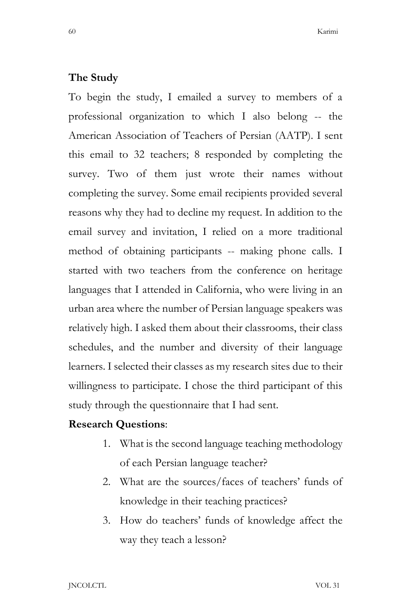### **The Study**

To begin the study, I emailed a survey to members of a professional organization to which I also belong -- the American Association of Teachers of Persian (AATP). I sent this email to 32 teachers; 8 responded by completing the survey. Two of them just wrote their names without completing the survey. Some email recipients provided several reasons why they had to decline my request. In addition to the email survey and invitation, I relied on a more traditional method of obtaining participants -- making phone calls. I started with two teachers from the conference on heritage languages that I attended in California, who were living in an urban area where the number of Persian language speakers was relatively high. I asked them about their classrooms, their class schedules, and the number and diversity of their language learners. I selected their classes as my research sites due to their willingness to participate. I chose the third participant of this study through the questionnaire that I had sent.

### **Research Questions**:

- 1. What is the second language teaching methodology of each Persian language teacher?
- 2. What are the sources/faces of teachers' funds of knowledge in their teaching practices?
- 3. How do teachers' funds of knowledge affect the way they teach a lesson?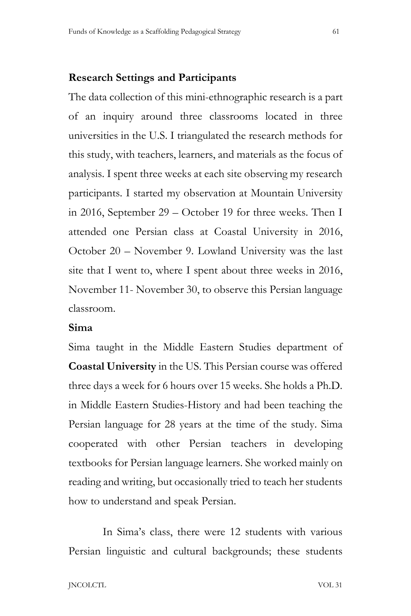#### **Research Settings and Participants**

The data collection of this mini-ethnographic research is a part of an inquiry around three classrooms located in three universities in the U.S. I triangulated the research methods for this study, with teachers, learners, and materials as the focus of analysis. I spent three weeks at each site observing my research participants. I started my observation at Mountain University in 2016, September 29 – October 19 for three weeks. Then I attended one Persian class at Coastal University in 2016, October 20 – November 9. Lowland University was the last site that I went to, where I spent about three weeks in 2016, November 11- November 30, to observe this Persian language classroom.

### **Sima**

Sima taught in the Middle Eastern Studies department of **Coastal University** in the US. This Persian course was offered three days a week for 6 hours over 15 weeks. She holds a Ph.D. in Middle Eastern Studies-History and had been teaching the Persian language for 28 years at the time of the study. Sima cooperated with other Persian teachers in developing textbooks for Persian language learners. She worked mainly on reading and writing, but occasionally tried to teach her students how to understand and speak Persian.

In Sima's class, there were 12 students with various Persian linguistic and cultural backgrounds; these students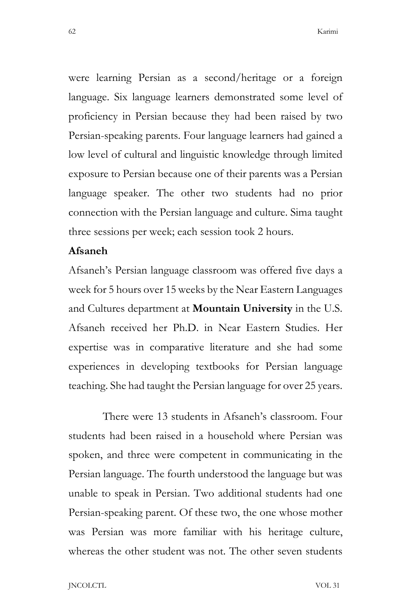were learning Persian as a second/heritage or a foreign language. Six language learners demonstrated some level of proficiency in Persian because they had been raised by two Persian-speaking parents. Four language learners had gained a low level of cultural and linguistic knowledge through limited exposure to Persian because one of their parents was a Persian language speaker. The other two students had no prior connection with the Persian language and culture. Sima taught three sessions per week; each session took 2 hours.

### **Afsaneh**

Afsaneh's Persian language classroom was offered five days a week for 5 hours over 15 weeks by the Near Eastern Languages and Cultures department at **Mountain University** in the U.S. Afsaneh received her Ph.D. in Near Eastern Studies. Her expertise was in comparative literature and she had some experiences in developing textbooks for Persian language teaching. She had taught the Persian language for over 25 years.

There were 13 students in Afsaneh's classroom. Four students had been raised in a household where Persian was spoken, and three were competent in communicating in the Persian language. The fourth understood the language but was unable to speak in Persian. Two additional students had one Persian-speaking parent. Of these two, the one whose mother was Persian was more familiar with his heritage culture, whereas the other student was not. The other seven students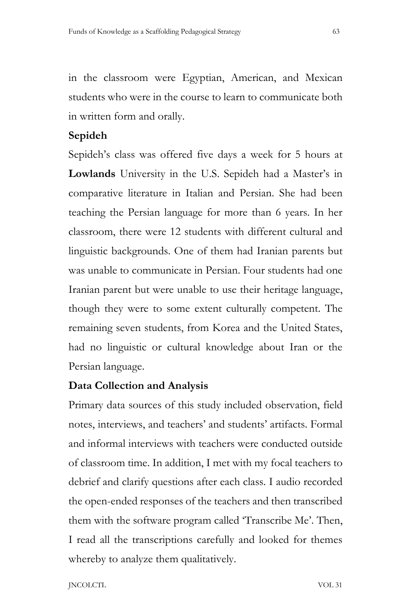in the classroom were Egyptian, American, and Mexican students who were in the course to learn to communicate both in written form and orally.

# **Sepideh**

Sepideh's class was offered five days a week for 5 hours at **Lowlands** University in the U.S. Sepideh had a Master's in comparative literature in Italian and Persian. She had been teaching the Persian language for more than 6 years. In her classroom, there were 12 students with different cultural and linguistic backgrounds. One of them had Iranian parents but was unable to communicate in Persian. Four students had one Iranian parent but were unable to use their heritage language, though they were to some extent culturally competent. The remaining seven students, from Korea and the United States, had no linguistic or cultural knowledge about Iran or the Persian language.

# **Data Collection and Analysis**

Primary data sources of this study included observation, field notes, interviews, and teachers' and students' artifacts. Formal and informal interviews with teachers were conducted outside of classroom time. In addition, I met with my focal teachers to debrief and clarify questions after each class. I audio recorded the open-ended responses of the teachers and then transcribed them with the software program called 'Transcribe Me'. Then, I read all the transcriptions carefully and looked for themes whereby to analyze them qualitatively.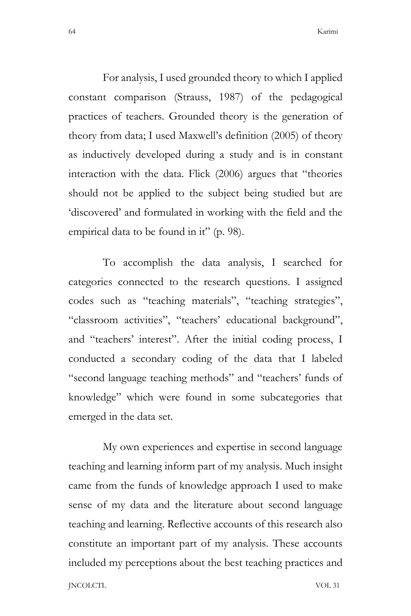For analysis, I used grounded theory to which I applied constant comparison (Strauss, 1987) of the pedagogical practices of teachers. Grounded theory is the generation of theory from data; I used Maxwell's definition (2005) of theory as inductively developed during a study and is in constant interaction with the data. Flick (2006) argues that "theories should not be applied to the subject being studied but are 'discovered' and formulated in working with the field and the empirical data to be found in it" (p. 98).

To accomplish the data analysis, I searched for categories connected to the research questions. I assigned codes such as "teaching materials", "teaching strategies", "classroom activities", "teachers' educational background", and "teachers' interest". After the initial coding process, I conducted a secondary coding of the data that I labeled "second language teaching methods" and "teachers' funds of knowledge" which were found in some subcategories that emerged in the data set.

JNCOLCTL VOL 31 My own experiences and expertise in second language teaching and learning inform part of my analysis. Much insight came from the funds of knowledge approach I used to make sense of my data and the literature about second language teaching and learning. Reflective accounts of this research also constitute an important part of my analysis. These accounts included my perceptions about the best teaching practices and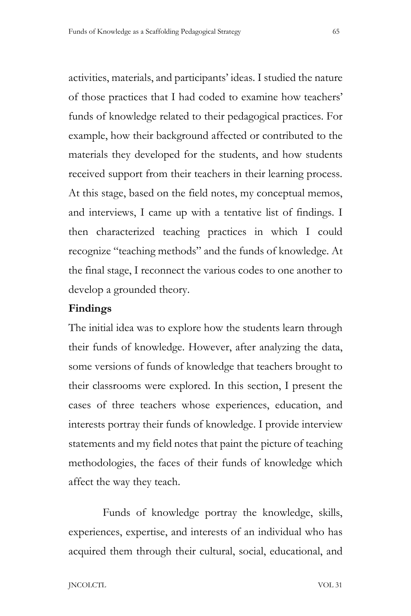activities, materials, and participants' ideas. I studied the nature of those practices that I had coded to examine how teachers' funds of knowledge related to their pedagogical practices. For example, how their background affected or contributed to the materials they developed for the students, and how students received support from their teachers in their learning process. At this stage, based on the field notes, my conceptual memos, and interviews, I came up with a tentative list of findings. I then characterized teaching practices in which I could recognize "teaching methods" and the funds of knowledge. At the final stage, I reconnect the various codes to one another to develop a grounded theory.

# **Findings**

The initial idea was to explore how the students learn through their funds of knowledge. However, after analyzing the data, some versions of funds of knowledge that teachers brought to their classrooms were explored. In this section, I present the cases of three teachers whose experiences, education, and interests portray their funds of knowledge. I provide interview statements and my field notes that paint the picture of teaching methodologies, the faces of their funds of knowledge which affect the way they teach.

Funds of knowledge portray the knowledge, skills, experiences, expertise, and interests of an individual who has acquired them through their cultural, social, educational, and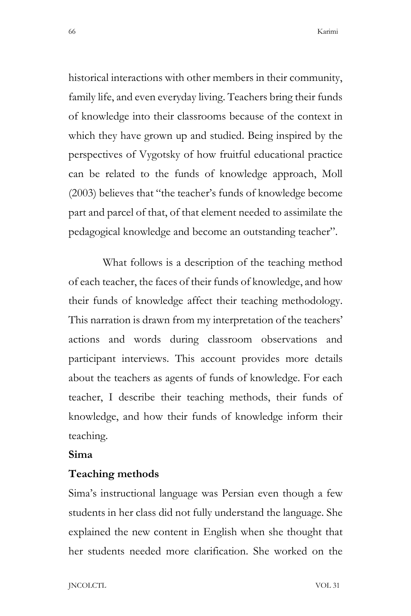historical interactions with other members in their community, family life, and even everyday living. Teachers bring their funds of knowledge into their classrooms because of the context in which they have grown up and studied. Being inspired by the perspectives of Vygotsky of how fruitful educational practice can be related to the funds of knowledge approach, Moll (2003) believes that "the teacher's funds of knowledge become part and parcel of that, of that element needed to assimilate the pedagogical knowledge and become an outstanding teacher".

What follows is a description of the teaching method of each teacher, the faces of their funds of knowledge, and how their funds of knowledge affect their teaching methodology. This narration is drawn from my interpretation of the teachers' actions and words during classroom observations and participant interviews. This account provides more details about the teachers as agents of funds of knowledge. For each teacher, I describe their teaching methods, their funds of knowledge, and how their funds of knowledge inform their teaching.

### **Sima**

#### **Teaching methods**

Sima's instructional language was Persian even though a few students in her class did not fully understand the language. She explained the new content in English when she thought that her students needed more clarification. She worked on the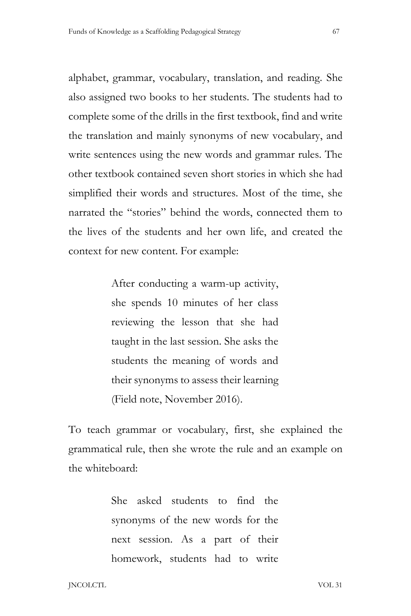alphabet, grammar, vocabulary, translation, and reading. She also assigned two books to her students. The students had to complete some of the drills in the first textbook, find and write the translation and mainly synonyms of new vocabulary, and write sentences using the new words and grammar rules. The other textbook contained seven short stories in which she had simplified their words and structures. Most of the time, she narrated the "stories" behind the words, connected them to the lives of the students and her own life, and created the context for new content. For example:

> After conducting a warm-up activity, she spends 10 minutes of her class reviewing the lesson that she had taught in the last session. She asks the students the meaning of words and their synonyms to assess their learning (Field note, November 2016).

To teach grammar or vocabulary, first, she explained the grammatical rule, then she wrote the rule and an example on the whiteboard:

> She asked students to find the synonyms of the new words for the next session. As a part of their homework, students had to write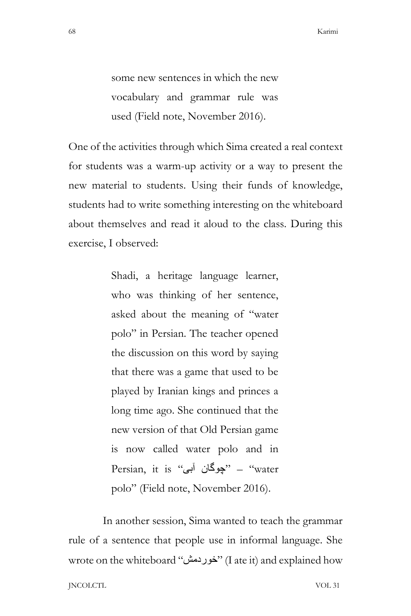some new sentences in which the new vocabulary and grammar rule was used (Field note, November 2016).

One of the activities through which Sima created a real context for students was a warm-up activity or a way to present the new material to students. Using their funds of knowledge, students had to write something interesting on the whiteboard about themselves and read it aloud to the class. During this exercise, I observed:

> Shadi, a heritage language learner, who was thinking of her sentence, asked about the meaning of "water polo" in Persian. The teacher opened the discussion on this word by saying that there was a game that used to be played by Iranian kings and princes a long time ago. She continued that the new version of that Old Persian game is now called water polo and in Persian, it is "چوگان آبی" Persian, it is polo" (Field note, November 2016).

JNCOLCTL VOL 31 In another session, Sima wanted to teach the grammar rule of a sentence that people use in informal language. She wrote on the whiteboard "خوردمش) "I ate it) and explained how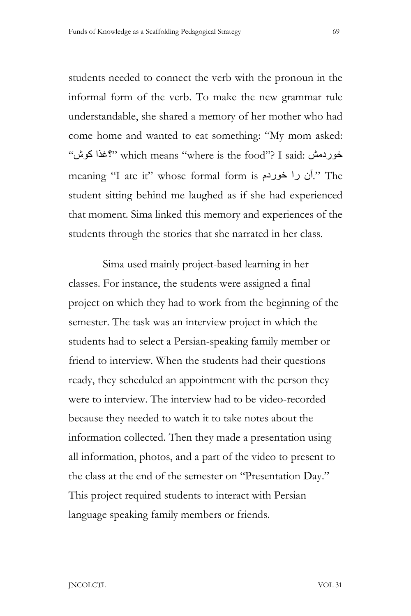students needed to connect the verb with the pronoun in the informal form of the verb. To make the new grammar rule understandable, she shared a memory of her mother who had come home and wanted to eat something: "My mom asked: "کوش ؟غذا "which means "where is the food"? I said: خوردمش meaning "I ate it" whose formal form is خوردم را آن. "The student sitting behind me laughed as if she had experienced that moment. Sima linked this memory and experiences of the students through the stories that she narrated in her class.

Sima used mainly project-based learning in her classes. For instance, the students were assigned a final project on which they had to work from the beginning of the semester. The task was an interview project in which the students had to select a Persian-speaking family member or friend to interview. When the students had their questions ready, they scheduled an appointment with the person they were to interview. The interview had to be video-recorded because they needed to watch it to take notes about the information collected. Then they made a presentation using all information, photos, and a part of the video to present to the class at the end of the semester on "Presentation Day." This project required students to interact with Persian language speaking family members or friends.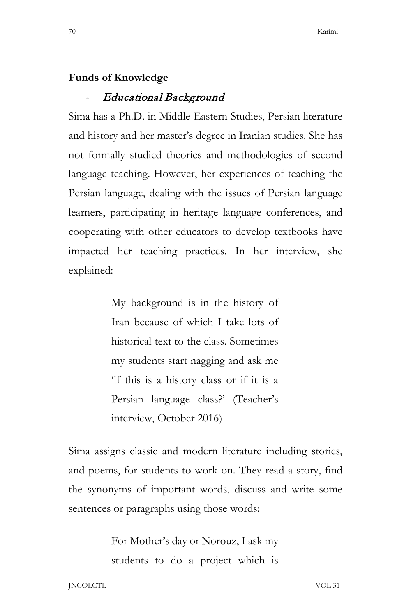#### **Funds of Knowledge**

#### - Educational Background

Sima has a Ph.D. in Middle Eastern Studies, Persian literature and history and her master's degree in Iranian studies. She has not formally studied theories and methodologies of second language teaching. However, her experiences of teaching the Persian language, dealing with the issues of Persian language learners, participating in heritage language conferences, and cooperating with other educators to develop textbooks have impacted her teaching practices. In her interview, she explained:

> My background is in the history of Iran because of which I take lots of historical text to the class. Sometimes my students start nagging and ask me 'if this is a history class or if it is a Persian language class?' (Teacher's interview, October 2016)

Sima assigns classic and modern literature including stories, and poems, for students to work on. They read a story, find the synonyms of important words, discuss and write some sentences or paragraphs using those words:

> For Mother's day or Norouz, I ask my students to do a project which is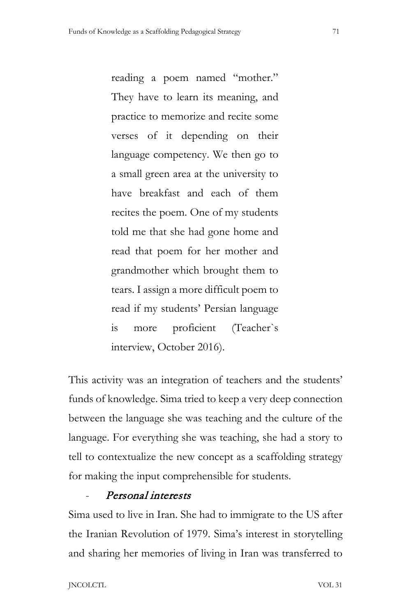reading a poem named "mother." They have to learn its meaning, and practice to memorize and recite some verses of it depending on their language competency. We then go to a small green area at the university to have breakfast and each of them recites the poem. One of my students told me that she had gone home and read that poem for her mother and grandmother which brought them to tears. I assign a more difficult poem to read if my students' Persian language is more proficient (Teacher`s interview, October 2016).

This activity was an integration of teachers and the students' funds of knowledge. Sima tried to keep a very deep connection between the language she was teaching and the culture of the language. For everything she was teaching, she had a story to tell to contextualize the new concept as a scaffolding strategy for making the input comprehensible for students.

# Personal interests

Sima used to live in Iran. She had to immigrate to the US after the Iranian Revolution of 1979. Sima's interest in storytelling and sharing her memories of living in Iran was transferred to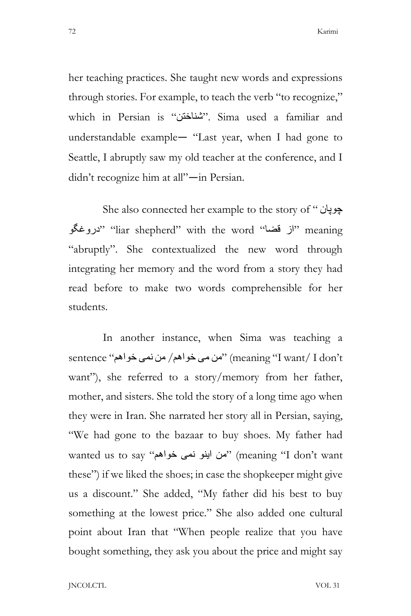her teaching practices. She taught new words and expressions through stories. For example, to teach the verb "to recognize," which in Persian is "شناختن". Sima used a familiar and understandable example— "Last year, when I had gone to Seattle, I abruptly saw my old teacher at the conference, and I didn't recognize him at all"—in Persian.

She also connected her example to the story of " چوپان دروغگو" "liar shepherd" with the word" (از قضا"" meaning "abruptly". She contextualized the new word through integrating her memory and the word from a story they had read before to make two words comprehensible for her students.

In another instance, when Sima was teaching a sentence "خواھم نمی من /خواھم می من) "meaning "I want/ I don't want"), she referred to a story/memory from her father, mother, and sisters. She told the story of a long time ago when they were in Iran. She narrated her story all in Persian, saying, "We had gone to the bazaar to buy shoes. My father had wanted us to say "خواھم نمی اینو من) "meaning "I don't want these") if we liked the shoes; in case the shopkeeper might give us a discount." She added, "My father did his best to buy something at the lowest price." She also added one cultural point about Iran that "When people realize that you have bought something, they ask you about the price and might say

JNCOLCTL VOL 31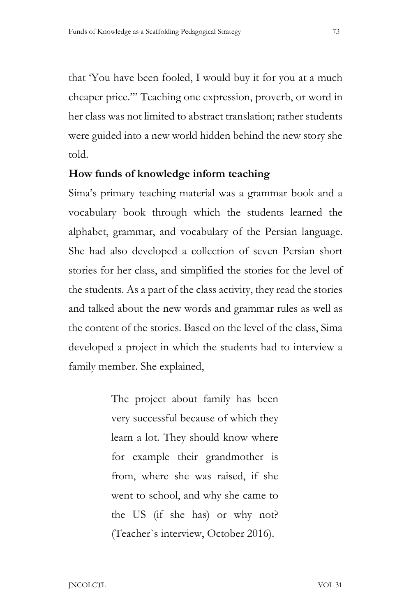that 'You have been fooled, I would buy it for you at a much cheaper price.'" Teaching one expression, proverb, or word in her class was not limited to abstract translation; rather students were guided into a new world hidden behind the new story she told.

### **How funds of knowledge inform teaching**

Sima's primary teaching material was a grammar book and a vocabulary book through which the students learned the alphabet, grammar, and vocabulary of the Persian language. She had also developed a collection of seven Persian short stories for her class, and simplified the stories for the level of the students. As a part of the class activity, they read the stories and talked about the new words and grammar rules as well as the content of the stories. Based on the level of the class, Sima developed a project in which the students had to interview a family member. She explained,

> The project about family has been very successful because of which they learn a lot. They should know where for example their grandmother is from, where she was raised, if she went to school, and why she came to the US (if she has) or why not? (Teacher`s interview, October 2016).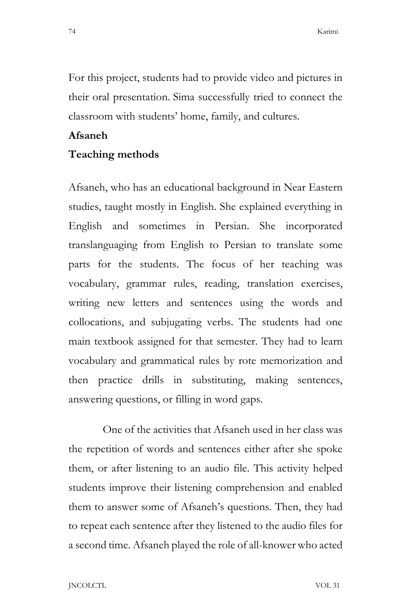For this project, students had to provide video and pictures in their oral presentation. Sima successfully tried to connect the classroom with students' home, family, and cultures.

#### **Afsaneh**

### **Teaching methods**

Afsaneh, who has an educational background in Near Eastern studies, taught mostly in English. She explained everything in English and sometimes in Persian. She incorporated translanguaging from English to Persian to translate some parts for the students. The focus of her teaching was vocabulary, grammar rules, reading, translation exercises, writing new letters and sentences using the words and collocations, and subjugating verbs. The students had one main textbook assigned for that semester. They had to learn vocabulary and grammatical rules by rote memorization and then practice drills in substituting, making sentences, answering questions, or filling in word gaps.

One of the activities that Afsaneh used in her class was the repetition of words and sentences either after she spoke them, or after listening to an audio file. This activity helped students improve their listening comprehension and enabled them to answer some of Afsaneh's questions. Then, they had to repeat each sentence after they listened to the audio files for a second time. Afsaneh played the role of all-knower who acted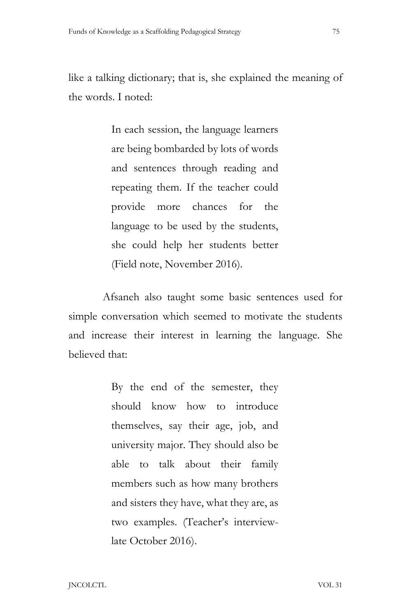like a talking dictionary; that is, she explained the meaning of the words. I noted:

> In each session, the language learners are being bombarded by lots of words and sentences through reading and repeating them. If the teacher could provide more chances for the language to be used by the students, she could help her students better (Field note, November 2016).

Afsaneh also taught some basic sentences used for simple conversation which seemed to motivate the students and increase their interest in learning the language. She believed that:

> By the end of the semester, they should know how to introduce themselves, say their age, job, and university major. They should also be able to talk about their family members such as how many brothers and sisters they have, what they are, as two examples. (Teacher's interviewlate October 2016).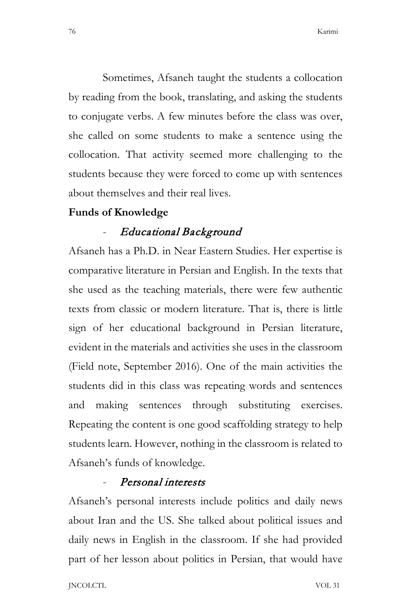Sometimes, Afsaneh taught the students a collocation by reading from the book, translating, and asking the students to conjugate verbs. A few minutes before the class was over, she called on some students to make a sentence using the collocation. That activity seemed more challenging to the students because they were forced to come up with sentences about themselves and their real lives.

#### **Funds of Knowledge**

# - Educational Background

Afsaneh has a Ph.D. in Near Eastern Studies. Her expertise is comparative literature in Persian and English. In the texts that she used as the teaching materials, there were few authentic texts from classic or modern literature. That is, there is little sign of her educational background in Persian literature, evident in the materials and activities she uses in the classroom (Field note, September 2016). One of the main activities the students did in this class was repeating words and sentences and making sentences through substituting exercises. Repeating the content is one good scaffolding strategy to help students learn. However, nothing in the classroom is related to Afsaneh's funds of knowledge.

# Personal interests

Afsaneh's personal interests include politics and daily news about Iran and the US. She talked about political issues and daily news in English in the classroom. If she had provided part of her lesson about politics in Persian, that would have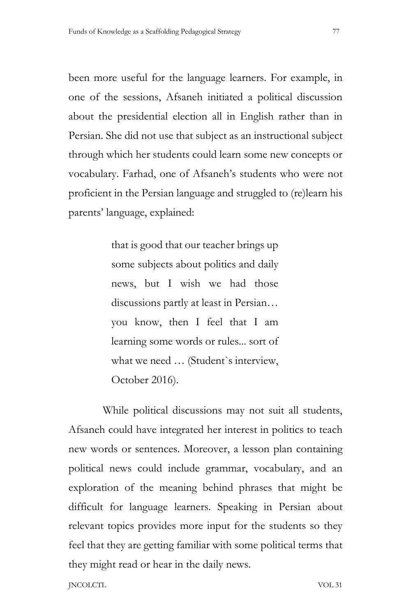been more useful for the language learners. For example, in one of the sessions, Afsaneh initiated a political discussion about the presidential election all in English rather than in Persian. She did not use that subject as an instructional subject through which her students could learn some new concepts or vocabulary. Farhad, one of Afsaneh's students who were not proficient in the Persian language and struggled to (re)learn his parents' language, explained:

> that is good that our teacher brings up some subjects about politics and daily news, but I wish we had those discussions partly at least in Persian… you know, then I feel that I am learning some words or rules... sort of what we need … (Student`s interview, October 2016).

While political discussions may not suit all students, Afsaneh could have integrated her interest in politics to teach new words or sentences. Moreover, a lesson plan containing political news could include grammar, vocabulary, and an exploration of the meaning behind phrases that might be difficult for language learners. Speaking in Persian about relevant topics provides more input for the students so they feel that they are getting familiar with some political terms that they might read or hear in the daily news.

JNCOLCTL VOL 31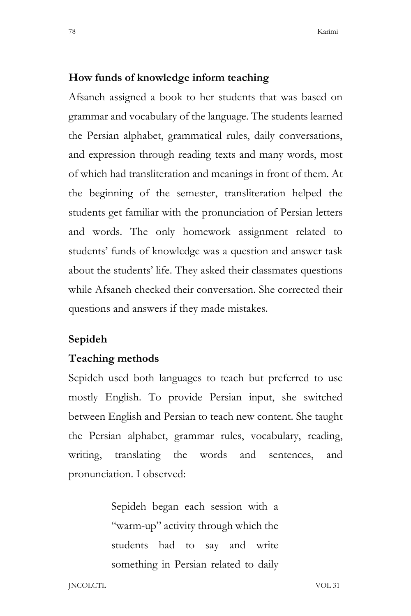#### **How funds of knowledge inform teaching**

Afsaneh assigned a book to her students that was based on grammar and vocabulary of the language. The students learned the Persian alphabet, grammatical rules, daily conversations, and expression through reading texts and many words, most of which had transliteration and meanings in front of them. At the beginning of the semester, transliteration helped the students get familiar with the pronunciation of Persian letters and words. The only homework assignment related to students' funds of knowledge was a question and answer task about the students' life. They asked their classmates questions while Afsaneh checked their conversation. She corrected their questions and answers if they made mistakes.

# **Sepideh**

#### **Teaching methods**

Sepideh used both languages to teach but preferred to use mostly English. To provide Persian input, she switched between English and Persian to teach new content. She taught the Persian alphabet, grammar rules, vocabulary, reading, writing, translating the words and sentences, and pronunciation. I observed:

> Sepideh began each session with a "warm-up" activity through which the students had to say and write something in Persian related to daily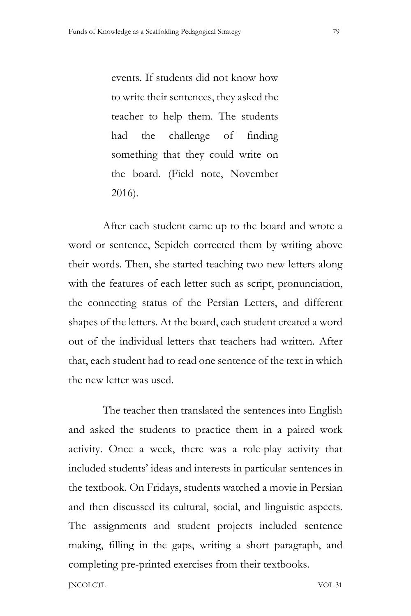events. If students did not know how to write their sentences, they asked the teacher to help them. The students had the challenge of finding something that they could write on the board. (Field note, November 2016).

After each student came up to the board and wrote a word or sentence, Sepideh corrected them by writing above their words. Then, she started teaching two new letters along with the features of each letter such as script, pronunciation, the connecting status of the Persian Letters, and different shapes of the letters. At the board, each student created a word out of the individual letters that teachers had written. After that, each student had to read one sentence of the text in which the new letter was used.

The teacher then translated the sentences into English and asked the students to practice them in a paired work activity. Once a week, there was a role-play activity that included students' ideas and interests in particular sentences in the textbook. On Fridays, students watched a movie in Persian and then discussed its cultural, social, and linguistic aspects. The assignments and student projects included sentence making, filling in the gaps, writing a short paragraph, and completing pre-printed exercises from their textbooks.

JNCOLCTL VOL 31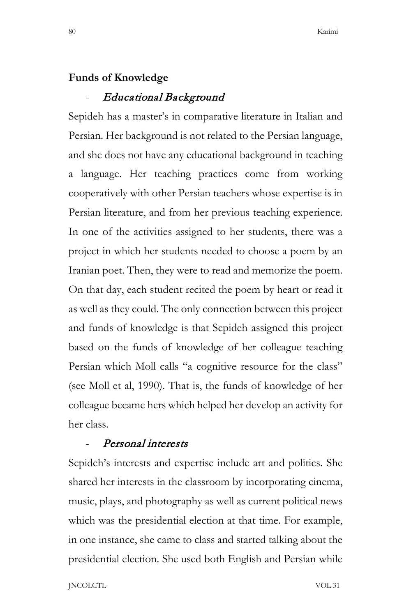### **Funds of Knowledge**

#### - Educational Background

Sepideh has a master's in comparative literature in Italian and Persian. Her background is not related to the Persian language, and she does not have any educational background in teaching a language. Her teaching practices come from working cooperatively with other Persian teachers whose expertise is in Persian literature, and from her previous teaching experience. In one of the activities assigned to her students, there was a project in which her students needed to choose a poem by an Iranian poet. Then, they were to read and memorize the poem. On that day, each student recited the poem by heart or read it as well as they could. The only connection between this project and funds of knowledge is that Sepideh assigned this project based on the funds of knowledge of her colleague teaching Persian which Moll calls "a cognitive resource for the class" (see Moll et al, 1990). That is, the funds of knowledge of her colleague became hers which helped her develop an activity for her class.

# Personal interests

Sepideh's interests and expertise include art and politics. She shared her interests in the classroom by incorporating cinema, music, plays, and photography as well as current political news which was the presidential election at that time. For example, in one instance, she came to class and started talking about the presidential election. She used both English and Persian while

JNCOLCTL VOL 31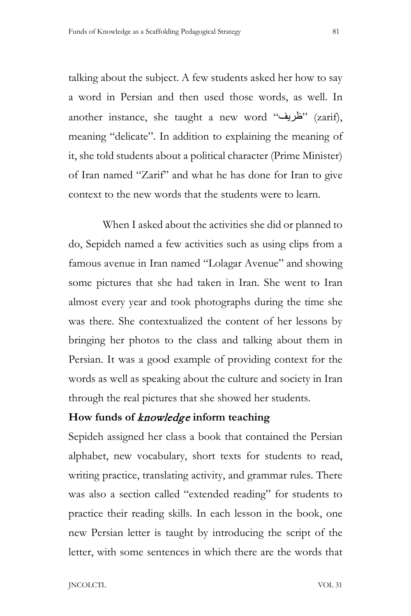talking about the subject. A few students asked her how to say a word in Persian and then used those words, as well. In another instance, she taught a new word "ظریف) "zarif), meaning "delicate". In addition to explaining the meaning of it, she told students about a political character (Prime Minister) of Iran named "Zarif" and what he has done for Iran to give context to the new words that the students were to learn.

When I asked about the activities she did or planned to do, Sepideh named a few activities such as using clips from a famous avenue in Iran named "Lolagar Avenue" and showing some pictures that she had taken in Iran. She went to Iran almost every year and took photographs during the time she was there. She contextualized the content of her lessons by bringing her photos to the class and talking about them in Persian. It was a good example of providing context for the words as well as speaking about the culture and society in Iran through the real pictures that she showed her students.

# **How funds of** knowledge **inform teaching**

Sepideh assigned her class a book that contained the Persian alphabet, new vocabulary, short texts for students to read, writing practice, translating activity, and grammar rules. There was also a section called "extended reading" for students to practice their reading skills. In each lesson in the book, one new Persian letter is taught by introducing the script of the letter, with some sentences in which there are the words that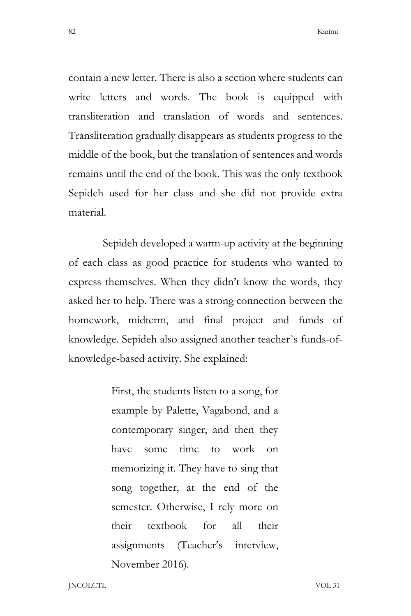contain a new letter. There is also a section where students can write letters and words. The book is equipped with transliteration and translation of words and sentences. Transliteration gradually disappears as students progress to the middle of the book, but the translation of sentences and words remains until the end of the book. This was the only textbook Sepideh used for her class and she did not provide extra material.

Sepideh developed a warm-up activity at the beginning of each class as good practice for students who wanted to express themselves. When they didn't know the words, they asked her to help. There was a strong connection between the homework, midterm, and final project and funds of knowledge. Sepideh also assigned another teacher`s funds-ofknowledge-based activity. She explained:

> First, the students listen to a song, for example by Palette, Vagabond, and a contemporary singer, and then they have some time to work on memorizing it. They have to sing that song together, at the end of the semester. Otherwise, I rely more on their textbook for all their assignments (Teacher's interview, November 2016)*.*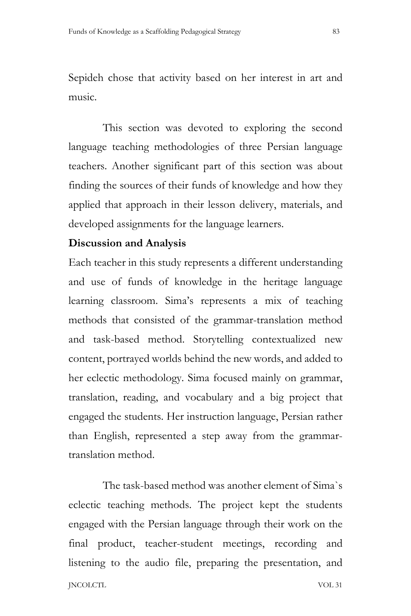Sepideh chose that activity based on her interest in art and music.

This section was devoted to exploring the second language teaching methodologies of three Persian language teachers. Another significant part of this section was about finding the sources of their funds of knowledge and how they applied that approach in their lesson delivery, materials, and developed assignments for the language learners.

# **Discussion and Analysis**

Each teacher in this study represents a different understanding and use of funds of knowledge in the heritage language learning classroom. Sima's represents a mix of teaching methods that consisted of the grammar-translation method and task-based method. Storytelling contextualized new content, portrayed worlds behind the new words, and added to her eclectic methodology. Sima focused mainly on grammar, translation, reading, and vocabulary and a big project that engaged the students. Her instruction language, Persian rather than English, represented a step away from the grammartranslation method.

JNCOLCTL VOL 31 The task-based method was another element of Sima`s eclectic teaching methods. The project kept the students engaged with the Persian language through their work on the final product, teacher-student meetings, recording and listening to the audio file, preparing the presentation, and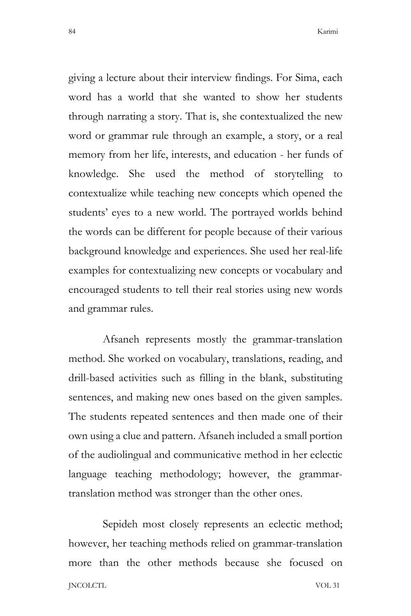giving a lecture about their interview findings. For Sima, each word has a world that she wanted to show her students through narrating a story. That is, she contextualized the new word or grammar rule through an example, a story, or a real memory from her life, interests, and education - her funds of knowledge. She used the method of storytelling to contextualize while teaching new concepts which opened the students' eyes to a new world. The portrayed worlds behind the words can be different for people because of their various background knowledge and experiences. She used her real-life examples for contextualizing new concepts or vocabulary and encouraged students to tell their real stories using new words and grammar rules.

Afsaneh represents mostly the grammar-translation method. She worked on vocabulary, translations, reading, and drill-based activities such as filling in the blank, substituting sentences, and making new ones based on the given samples. The students repeated sentences and then made one of their own using a clue and pattern. Afsaneh included a small portion of the audiolingual and communicative method in her eclectic language teaching methodology; however, the grammartranslation method was stronger than the other ones.

JNCOLCTL VOL 31 Sepideh most closely represents an eclectic method; however, her teaching methods relied on grammar-translation more than the other methods because she focused on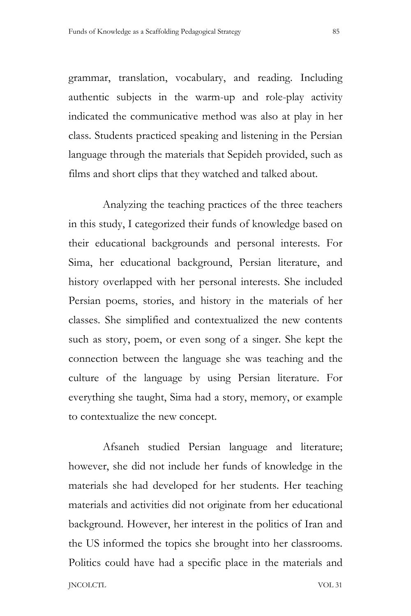grammar, translation, vocabulary, and reading. Including authentic subjects in the warm-up and role-play activity indicated the communicative method was also at play in her class. Students practiced speaking and listening in the Persian language through the materials that Sepideh provided, such as films and short clips that they watched and talked about.

Analyzing the teaching practices of the three teachers in this study, I categorized their funds of knowledge based on their educational backgrounds and personal interests. For Sima, her educational background, Persian literature, and history overlapped with her personal interests. She included Persian poems, stories, and history in the materials of her classes. She simplified and contextualized the new contents such as story, poem, or even song of a singer. She kept the connection between the language she was teaching and the culture of the language by using Persian literature. For everything she taught, Sima had a story, memory, or example to contextualize the new concept.

JNCOLCTL VOL 31 Afsaneh studied Persian language and literature; however, she did not include her funds of knowledge in the materials she had developed for her students. Her teaching materials and activities did not originate from her educational background. However, her interest in the politics of Iran and the US informed the topics she brought into her classrooms. Politics could have had a specific place in the materials and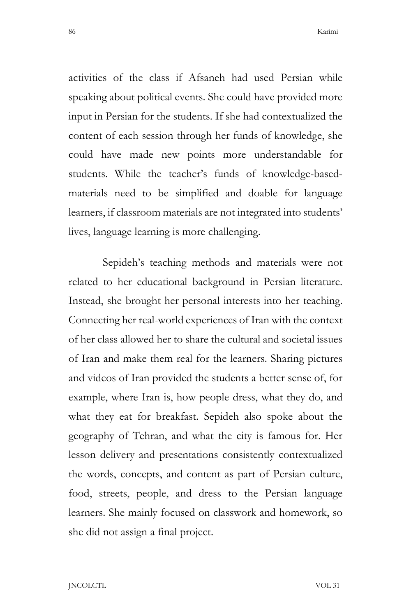activities of the class if Afsaneh had used Persian while speaking about political events. She could have provided more input in Persian for the students. If she had contextualized the content of each session through her funds of knowledge, she could have made new points more understandable for students. While the teacher's funds of knowledge-basedmaterials need to be simplified and doable for language learners, if classroom materials are not integrated into students' lives, language learning is more challenging.

Sepideh's teaching methods and materials were not related to her educational background in Persian literature. Instead, she brought her personal interests into her teaching. Connecting her real-world experiences of Iran with the context of her class allowed her to share the cultural and societal issues of Iran and make them real for the learners. Sharing pictures and videos of Iran provided the students a better sense of, for example, where Iran is, how people dress, what they do, and what they eat for breakfast. Sepideh also spoke about the geography of Tehran, and what the city is famous for. Her lesson delivery and presentations consistently contextualized the words, concepts, and content as part of Persian culture, food, streets, people, and dress to the Persian language learners. She mainly focused on classwork and homework, so she did not assign a final project.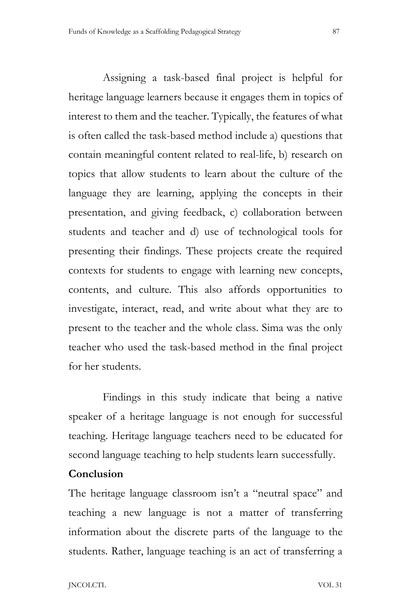Assigning a task-based final project is helpful for heritage language learners because it engages them in topics of interest to them and the teacher. Typically, the features of what is often called the task-based method include a) questions that contain meaningful content related to real-life, b) research on topics that allow students to learn about the culture of the language they are learning, applying the concepts in their presentation, and giving feedback, c) collaboration between students and teacher and d) use of technological tools for presenting their findings. These projects create the required contexts for students to engage with learning new concepts, contents, and culture. This also affords opportunities to investigate, interact, read, and write about what they are to present to the teacher and the whole class. Sima was the only teacher who used the task-based method in the final project for her students.

Findings in this study indicate that being a native speaker of a heritage language is not enough for successful teaching. Heritage language teachers need to be educated for second language teaching to help students learn successfully.

# **Conclusion**

The heritage language classroom isn't a "neutral space" and teaching a new language is not a matter of transferring information about the discrete parts of the language to the students. Rather, language teaching is an act of transferring a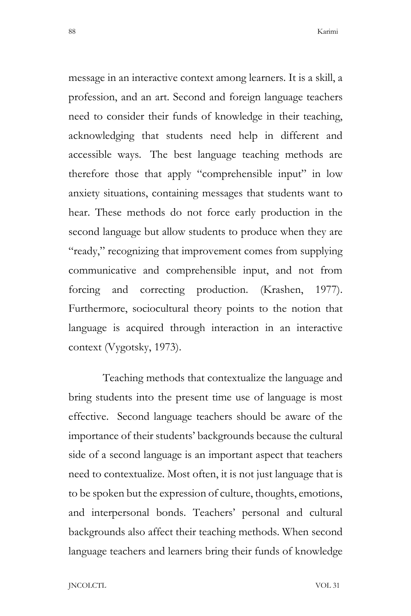message in an interactive context among learners. It is a skill, a profession, and an art. Second and foreign language teachers need to consider their funds of knowledge in their teaching, acknowledging that students need help in different and accessible ways. The best language teaching methods are therefore those that apply "comprehensible input" in low anxiety situations, containing messages that students want to hear. These methods do not force early production in the second language but allow students to produce when they are "ready," recognizing that improvement comes from supplying communicative and comprehensible input, and not from forcing and correcting production. (Krashen, 1977). Furthermore, sociocultural theory points to the notion that language is acquired through interaction in an interactive context (Vygotsky, 1973).

Teaching methods that contextualize the language and bring students into the present time use of language is most effective. Second language teachers should be aware of the importance of their students' backgrounds because the cultural side of a second language is an important aspect that teachers need to contextualize. Most often, it is not just language that is to be spoken but the expression of culture, thoughts, emotions, and interpersonal bonds. Teachers' personal and cultural backgrounds also affect their teaching methods. When second language teachers and learners bring their funds of knowledge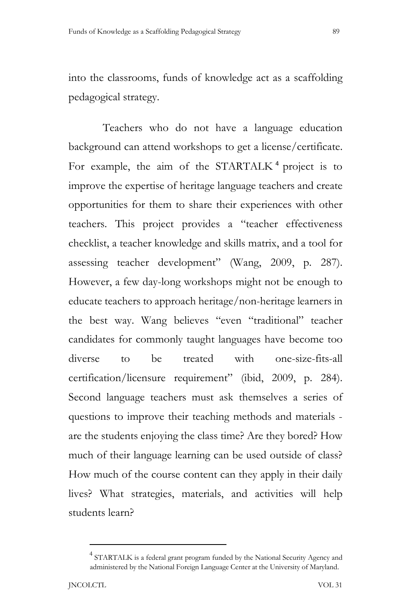into the classrooms, funds of knowledge act as a scaffolding pedagogical strategy.

Teachers who do not have a language education background can attend workshops to get a license/certificate. For example, the aim of the STARTALK<sup>4</sup> project is to improve the expertise of heritage language teachers and create opportunities for them to share their experiences with other teachers. This project provides a "teacher effectiveness checklist, a teacher knowledge and skills matrix, and a tool for assessing teacher development" (Wang, 2009, p. 287). However, a few day-long workshops might not be enough to educate teachers to approach heritage/non-heritage learners in the best way. Wang believes "even "traditional" teacher candidates for commonly taught languages have become too diverse to be treated with one-size-fits-all certification/licensure requirement" (ibid, 2009, p. 284). Second language teachers must ask themselves a series of questions to improve their teaching methods and materials are the students enjoying the class time? Are they bored? How much of their language learning can be used outside of class? How much of the course content can they apply in their daily lives? What strategies, materials, and activities will help students learn?

<sup>&</sup>lt;sup>4</sup> STARTALK is a federal grant program funded by the National Security Agency and administered by the National Foreign Language Center at the University of Maryland.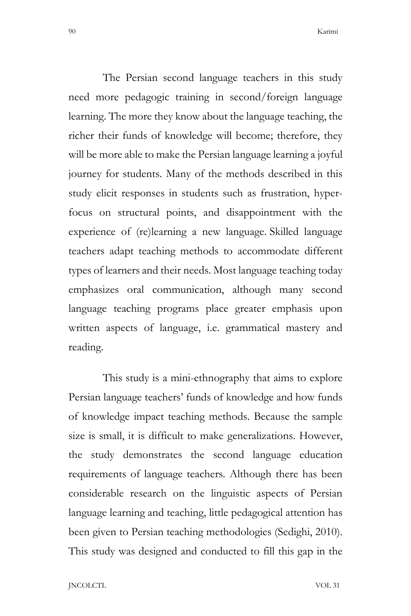The Persian second language teachers in this study need more pedagogic training in second/foreign language learning. The more they know about the language teaching, the richer their funds of knowledge will become; therefore, they will be more able to make the Persian language learning a joyful journey for students. Many of the methods described in this study elicit responses in students such as frustration, hyperfocus on structural points, and disappointment with the experience of (re)learning a new language. Skilled language teachers adapt teaching methods to accommodate different types of learners and their needs. Most language teaching today emphasizes oral communication, although many second language teaching programs place greater emphasis upon written aspects of language, i.e. grammatical mastery and reading.

This study is a mini-ethnography that aims to explore Persian language teachers' funds of knowledge and how funds of knowledge impact teaching methods. Because the sample size is small, it is difficult to make generalizations. However, the study demonstrates the second language education requirements of language teachers. Although there has been considerable research on the linguistic aspects of Persian language learning and teaching, little pedagogical attention has been given to Persian teaching methodologies (Sedighi, 2010). This study was designed and conducted to fill this gap in the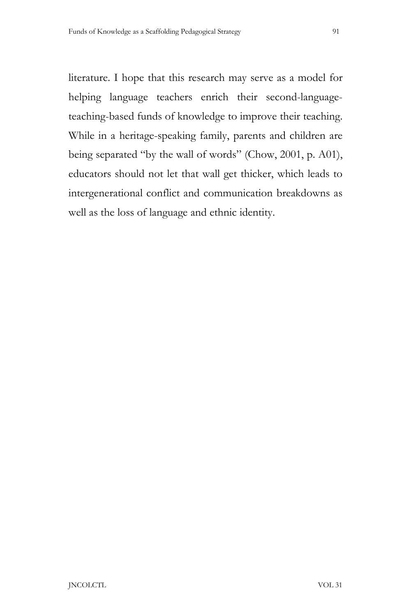literature. I hope that this research may serve as a model for helping language teachers enrich their second-languageteaching-based funds of knowledge to improve their teaching. While in a heritage-speaking family, parents and children are being separated "by the wall of words" (Chow, 2001, p. A01), educators should not let that wall get thicker, which leads to intergenerational conflict and communication breakdowns as well as the loss of language and ethnic identity.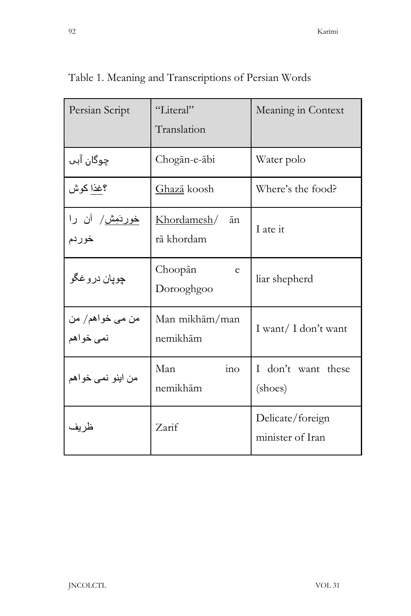|   |        | I       |
|---|--------|---------|
| ٧ | c<br>٠ | ۰,<br>I |

| Persian Script                   | "Literal"<br>Translation        | Meaning in Context                   |
|----------------------------------|---------------------------------|--------------------------------------|
| چوگان آبي                        | Chogān-e-ābi                    | Water polo                           |
| ؟غذا كوش                         | <u>Ghazā</u> koosh              | Where's the food?                    |
| <u>خوردَمِش</u> / آن را<br>خوردم | Khordamesh/<br>ān<br>rā khordam | I ate it                             |
| چوپان در و غگو                   | Choopān<br>e<br>Dorooghgoo      | liar shepherd                        |
| من می خواهم/ من<br>نمی خواهم     | Man mikhām/man<br>nemikhām      | I want/ I don't want                 |
| من اينو نمي خواهم                | Man<br>ino<br>nemikhām          | I don't want these<br>(shoes)        |
| ظر يف                            | Zarif                           | Delicate/foreign<br>minister of Iran |

Table 1. Meaning and Transcriptions of Persian Words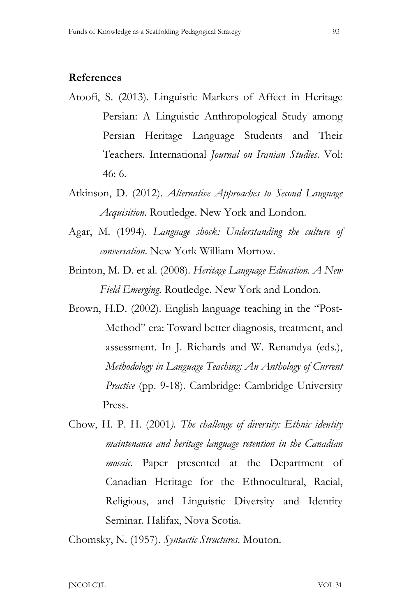#### **References**

- Atoofi, S. (2013). Linguistic Markers of Affect in Heritage Persian: A Linguistic Anthropological Study among Persian Heritage Language Students and Their Teachers. International *Journal on Iranian Studies*. Vol: 46: 6.
- Atkinson, D. (2012). *Alternative Approaches to Second Language Acquisition*. Routledge. New York and London.
- Agar, M. (1994). *Language shock: Understanding the culture of conversation*. New York William Morrow.
- Brinton, M. D. et al. (2008). *Heritage Language Education. A New Field Emerging*. Routledge. New York and London.
- Brown, H.D. (2002). English language teaching in the "Post- Method" era: Toward better diagnosis, treatment, and assessment. In J. Richards and W. Renandya (eds.),  *Methodology in Language Teaching: An Anthology of Current Practice* (pp. 9-18). Cambridge: Cambridge University Press.
- Chow, H. P. H. (2001*). The challenge of diversity: Ethnic identity maintenance and heritage language retention in the Canadian mosaic.* Paper presented at the Department of Canadian Heritage for the Ethnocultural, Racial, Religious, and Linguistic Diversity and Identity Seminar. Halifax, Nova Scotia.

Chomsky, N. (1957). *Syntactic Structures*. Mouton.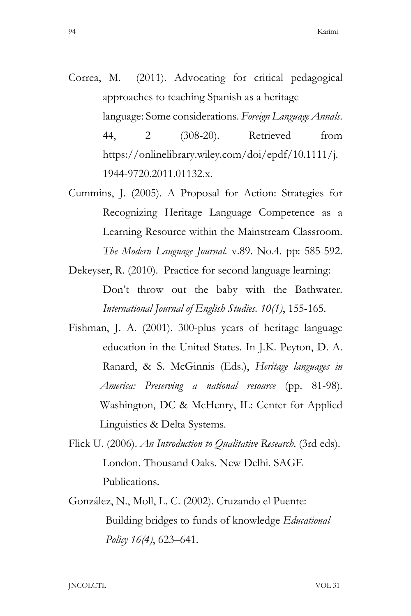- Correa, M. (2011). Advocating for critical pedagogical approaches to teaching Spanish as a heritage language: Some considerations. *Foreign Language Annals*. 44, 2 (308-20). Retrieved from https://onlinelibrary.wiley.com/doi/epdf/10.1111/j. 1944-9720.2011.01132.x.
- Cummins, J. (2005). A Proposal for Action: Strategies for Recognizing Heritage Language Competence as a Learning Resource within the Mainstream Classroom. *The Modern Language Journal.* v.89. No.4. pp: 585-592.
- Dekeyser, R. (2010). Practice for second language learning: Don't throw out the baby with the Bathwater. *International Journal of English Studies. 10(1)*, 155-165.
- Fishman, J. A. (2001). 300-plus years of heritage language education in the United States. In J.K. Peyton, D. A. Ranard, & S. McGinnis (Eds.), *Heritage languages in America: Preserving a national resource* (pp. 81-98). Washington, DC & McHenry, IL: Center for Applied Linguistics & Delta Systems.
- Flick U. (2006). *An Introduction to Qualitative Research*. (3rd eds). London. Thousand Oaks. New Delhi. SAGE Publications.
- González, N., Moll, L. C. (2002). Cruzando el Puente: Building bridges to funds of knowledge *Educational Policy 16(4)*, 623–641.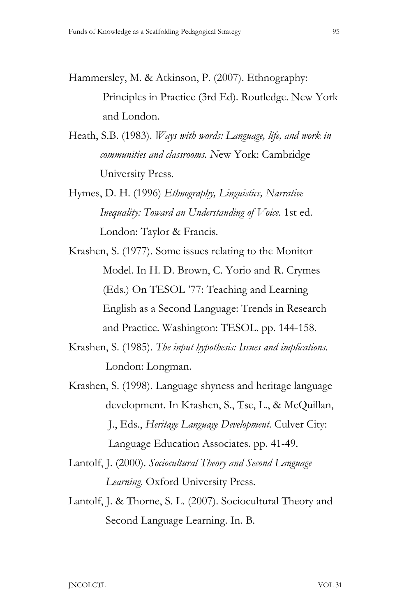- Hammersley, M. & Atkinson, P. (2007). Ethnography: Principles in Practice (3rd Ed). Routledge. New York and London.
- Heath, S.B. (1983). *Ways with words: Language, life, and work in communities and classrooms. N*ew York: Cambridge University Press.
- Hymes, D. H. (1996) *Ethnography, Linguistics, Narrative Inequality: Toward an Understanding of Voice*. 1st ed. London: Taylor & Francis.
- Krashen, S. (1977). Some issues relating to the Monitor Model. In H. D. Brown, C. Yorio and R. Crymes (Eds.) On TESOL '77: Teaching and Learning English as a Second Language: Trends in Research and Practice. Washington: TESOL. pp. 144-158.
- Krashen, S. (1985). *The input hypothesis: Issues and implications*. London: Longman.
- Krashen, S. (1998). Language shyness and heritage language development. In Krashen, S., Tse, L., & McQuillan, J., Eds., *Heritage Language Development*. Culver City: Language Education Associates. pp. 41-49.
- Lantolf, J. (2000). *Sociocultural Theory and Second Language Learning*. Oxford University Press.
- Lantolf, J. & Thorne, S. L. (2007). Sociocultural Theory and Second Language Learning. In. B.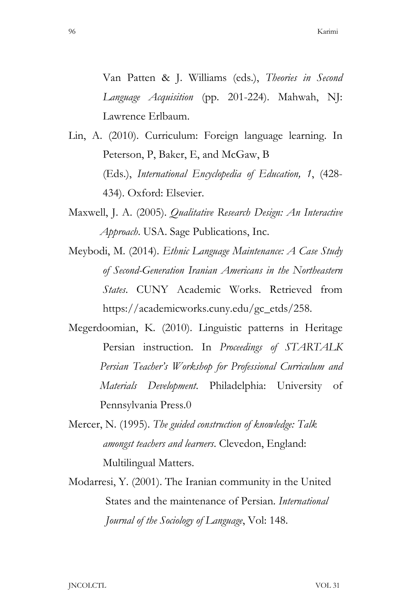Van Patten & J. Williams (eds.), *Theories in Second Language Acquisition* (pp. 201-224). Mahwah, NJ: Lawrence Erlbaum.

- Lin, A. (2010). Curriculum: Foreign language learning. In Peterson, P, Baker, E, and McGaw, B (Eds.), *International Encyclopedia of Education, 1*, (428- 434). Oxford: Elsevier.
- Maxwell, J. A. (2005). *Qualitative Research Design: An Interactive Approach*. USA. Sage Publications, Inc.
- Meybodi, M. (2014). *Ethnic Language Maintenance: A Case Study of Second-Generation Iranian Americans in the Northeastern States*. CUNY Academic Works. Retrieved from https://academicworks.cuny.edu/gc\_etds/258.
- Megerdoomian, K. (2010). Linguistic patterns in Heritage Persian instruction. In *Proceedings of STARTALK Persian Teacher's Workshop for Professional Curriculum and Materials Development*. Philadelphia: University of Pennsylvania Press.0
- Mercer, N. (1995). *The guided construction of knowledge: Talk amongst teachers and learners*. Clevedon, England: Multilingual Matters.
- Modarresi, Y. (2001). The Iranian community in the United States and the maintenance of Persian. *International Journal of the Sociology of Language*, Vol: 148.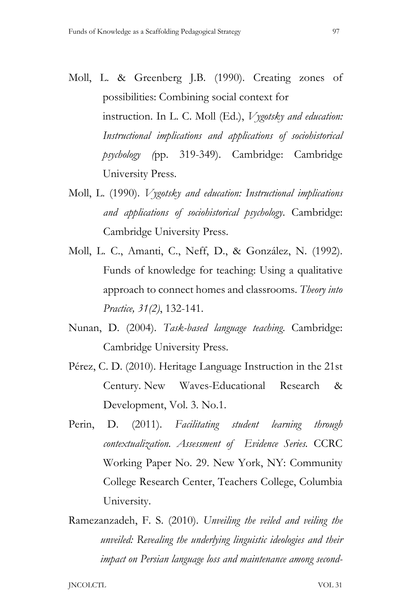- Moll, L. & Greenberg J.B. (1990). Creating zones of possibilities: Combining social context for instruction. In L. C. Moll (Ed.), *Vygotsky and education: Instructional implications and applications of sociohistorical psychology (*pp. 319-349). Cambridge: Cambridge University Press.
- Moll, L. (1990). *Vygotsky and education: Instructional implications and applications of sociohistorical psychology*. Cambridge: Cambridge University Press.
- Moll, L. C., Amanti, C., Neff, D., & González, N. (1992). Funds of knowledge for teaching: Using a qualitative approach to connect homes and classrooms. *Theory into Practice, 31(2)*, 132-141.
- Nunan, D. (2004). *Task-based language teaching*. Cambridge: Cambridge University Press.
- Pérez, C. D. (2010). Heritage Language Instruction in the 21st Century. New Waves-Educational Research & Development, Vol. 3. No.1.
- Perin, D. (2011). *Facilitating student learning through contextualization. Assessment of Evidence Series.* CCRC Working Paper No. 29. New York, NY: Community College Research Center, Teachers College, Columbia University.
- Ramezanzadeh, F. S. (2010). *Unveiling the veiled and veiling the unveiled: Revealing the underlying linguistic ideologies and their impact on Persian language loss and maintenance among second-*

JNCOLCTL VOL 31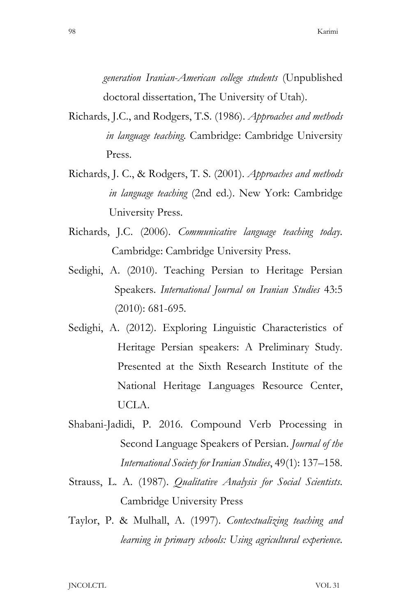*generation Iranian-American college students* (Unpublished doctoral dissertation, The University of Utah).

- Richards, J.C., and Rodgers, T.S. (1986). *Approaches and methods in language teaching*. Cambridge: Cambridge University Press.
- Richards, J. C., & Rodgers, T. S. (2001). *Approaches and methods in language teaching* (2nd ed.). New York: Cambridge University Press.
- Richards, J.C. (2006). *Communicative language teaching today*. Cambridge: Cambridge University Press.
- Sedighi, A. (2010). Teaching Persian to Heritage Persian Speakers. *International Journal on Iranian Studies* 43:5 (2010): 681-695.
- Sedighi, A. (2012). Exploring Linguistic Characteristics of Heritage Persian speakers: A Preliminary Study. Presented at the Sixth Research Institute of the National Heritage Languages Resource Center, UCLA.
- Shabani-Jadidi, P. 2016. Compound Verb Processing in Second Language Speakers of Persian. *Journal of the International Society for Iranian Studies*, 49(1): 137–158.
- Strauss, L. A. (1987). *Qualitative Analysis for Social Scientists*. Cambridge University Press
- Taylor, P. & Mulhall, A. (1997). *Contextualizing teaching and learning in primary schools: Using agricultural experience*.